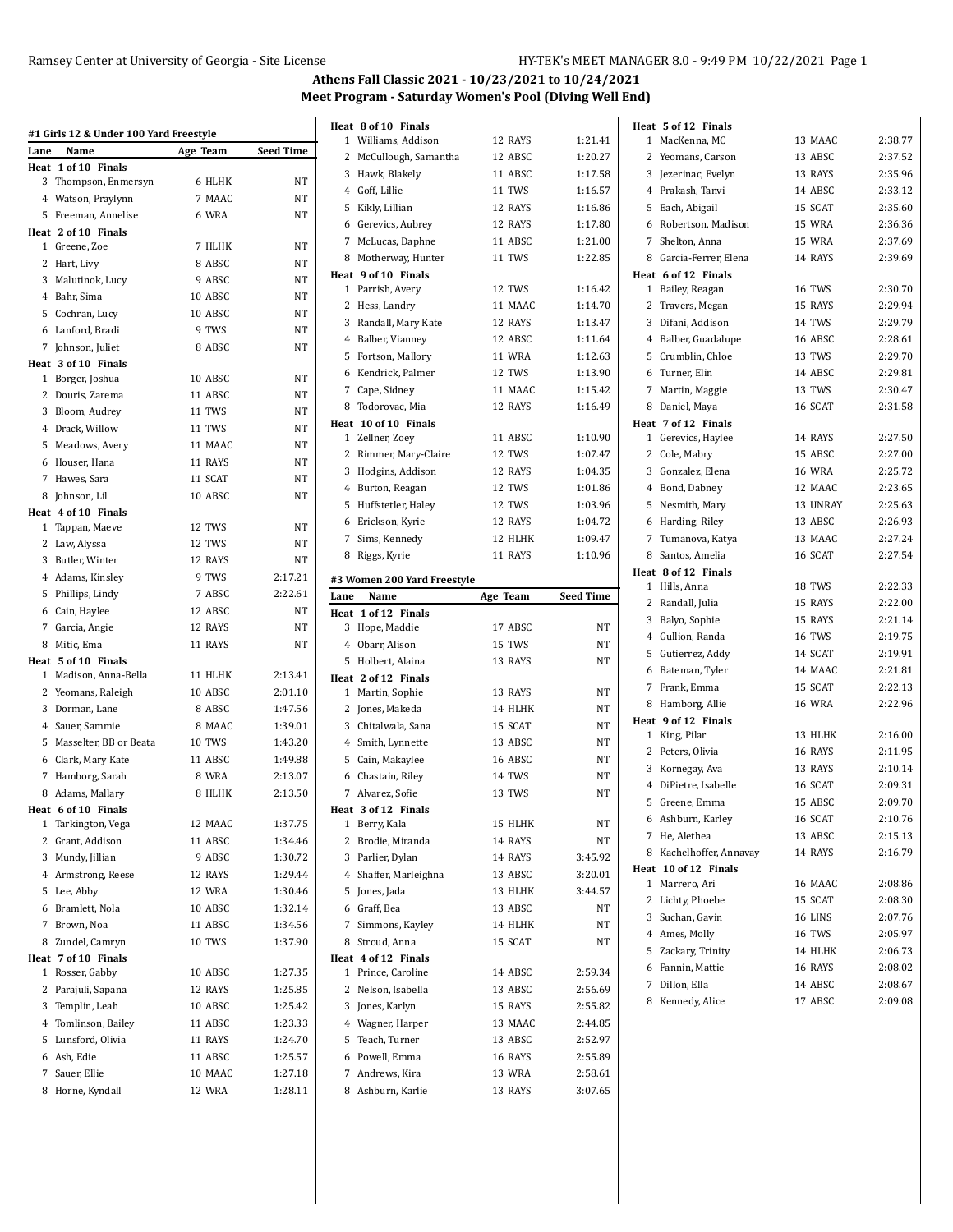| Lane | #1 Girls 12 & Under 100 Yard Freestyle<br>Name | Age Team                 | <b>Seed Time</b> |
|------|------------------------------------------------|--------------------------|------------------|
|      | Heat 1 of 10 Finals                            |                          |                  |
|      | 3 Thompson, Enmersyn                           | 6 HLHK                   | ΝT               |
|      | 4 Watson, Praylynn                             | 7 MAAC                   | NT               |
|      | 5 Freeman, Annelise                            | 6 WRA                    | <b>NT</b>        |
|      | Heat 2 of 10 Finals                            |                          |                  |
|      | 1 Greene, Zoe                                  | 7 HLHK                   | NT               |
|      | 2 Hart, Livy                                   | 8 ABSC                   | NT               |
|      | 3 Malutinok, Lucy                              | 9 ABSC                   | NT               |
|      | 4 Bahr, Sima                                   | 10 ABSC                  | NT               |
|      | 5 Cochran, Lucy                                | 10 ABSC                  | NT               |
|      | 6 Lanford, Bradi                               | 9 TWS                    | <b>NT</b>        |
|      | 7 Johnson, Juliet                              | 8 ABSC                   | NT               |
|      | Heat 3 of 10 Finals                            |                          |                  |
|      | 1 Borger, Joshua                               | 10 ABSC                  | NT               |
|      | 2 Douris, Zarema                               | 11 ABSC                  | NT               |
|      | 3 Bloom, Audrey                                | 11 TWS                   | NT               |
|      | 4 Drack, Willow                                | 11 TWS                   | NT               |
|      | 5 Meadows, Avery                               | 11 MAAC                  | <b>NT</b>        |
|      | 6 Houser, Hana                                 | 11 RAYS                  | NT               |
|      | 7 Hawes, Sara                                  | 11 SCAT                  | NT               |
|      | 8 Johnson, Lil                                 | 10 ABSC                  | NT               |
|      | Heat 4 of 10 Finals                            |                          |                  |
|      | 1 Tappan, Maeve                                | 12 TWS                   | NT               |
|      | 2 Law, Alyssa                                  | 12 TWS                   | NT               |
|      | 3 Butler, Winter                               | 12 RAYS                  | NT               |
|      | 4 Adams, Kinsley                               | 9 TWS                    | 2:17.21          |
|      | 5 Phillips, Lindy                              | 7 ABSC                   | 2:22.61          |
|      | 6 Cain, Haylee                                 | 12 ABSC                  | NT               |
|      | 7 Garcia, Angie                                | 12 RAYS                  | NT               |
|      | 8 Mitic, Ema                                   | 11 RAYS                  | NT               |
|      | Heat 5 of 10 Finals                            |                          |                  |
|      | 1 Madison, Anna-Bella                          | 11 HLHK                  | 2:13.41          |
|      | 2 Yeomans, Raleigh                             | 10 ABSC                  | 2:01.10          |
|      | 3 Dorman, Lane                                 | 8 ABSC                   | 1:47.56          |
|      | 4 Sauer, Sammie                                | 8 MAAC                   | 1:39.01          |
|      | 5 Masselter, BB or Beata                       | <b>10 TWS</b><br>11 ABSC | 1:43.20          |
|      | 6 Clark, Mary Kate                             |                          | 1:49.88          |
|      | 7 Hamborg, Sarah                               | 8 WRA                    | 2:13.07          |
|      | 8 Adams, Mallary                               | 8 HLHK                   | 2:13.50          |
|      | Heat 6 of 10 Finals<br>1 Tarkington, Vega      | 12 MAAC                  | 1:37.75          |
|      | 2 Grant, Addison                               | 11 ABSC                  | 1:34.46          |
|      | 3 Mundy, Jillian                               | 9 ABSC                   | 1:30.72          |
|      | 4 Armstrong, Reese                             | 12 RAYS                  | 1:29.44          |
|      | 5 Lee, Abby                                    | 12 WRA                   | 1:30.46          |
|      | 6 Bramlett, Nola                               | 10 ABSC                  | 1:32.14          |
| 7    | Brown, Noa                                     | 11 ABSC                  | 1:34.56          |
| 8    | Zundel, Camryn                                 | <b>10 TWS</b>            | 1:37.90          |
|      | Heat 7 of 10 Finals                            |                          |                  |
| 1    | Rosser, Gabby                                  | 10 ABSC                  | 1:27.35          |
| 2    | Parajuli, Sapana                               | 12 RAYS                  | 1:25.85          |
|      | 3 Templin, Leah                                | 10 ABSC                  | 1:25.42          |
|      | 4 Tomlinson, Bailey                            | 11 ABSC                  | 1:23.33          |
|      | 5 Lunsford, Olivia                             | 11 RAYS                  | 1:24.70          |
|      | 6 Ash, Edie                                    | 11 ABSC                  | 1:25.57          |
|      | 7 Sauer, Ellie                                 | 10 MAAC                  | 1:27.18          |
|      | 8 Horne, Kyndall                               | 12 WRA                   | 1:28.11          |
|      |                                                |                          |                  |

|              | Heat 8 of 10 Finals                  |                   |                    | Heat 5           |
|--------------|--------------------------------------|-------------------|--------------------|------------------|
|              | 1 Williams, Addison                  | 12 RAYS           | 1:21.41            | 1 M              |
|              | 2 McCullough, Samantha               | 12 ABSC           | 1:20.27            | $2 Y_{6}$        |
|              | 3 Hawk, Blakely                      | 11 ABSC           | 1:17.58            | $3$ Je           |
|              | 4 Goff, Lillie                       | 11 TWS            | 1:16.57            | $4$ $P_1$        |
|              | 5 Kikly, Lillian                     | 12 RAYS           | 1:16.86            | 5 Ea             |
|              | 6 Gerevics, Aubrey                   | 12 RAYS           | 1:17.80            | 6 Ro             |
|              | 7 McLucas, Daphne                    | 11 ABSC           | 1:21.00            | 7 Sh             |
|              | 8 Motherway, Hunter                  | 11 TWS            | 1:22.85            | 8 Ga             |
|              | Heat 9 of 10 Finals                  |                   |                    | Heat 6           |
|              | 1 Parrish, Avery                     | 12 TWS            | 1:16.42            | 1 B <sub>i</sub> |
|              | 2 Hess, Landry                       | 11 MAAC           | 1:14.70            | 2T1              |
|              | 3 Randall, Mary Kate                 | 12 RAYS           | 1:13.47            | 3 Di             |
|              | 4 Balber, Vianney                    | 12 ABSC           | 1:11.64            | 4 B <sub>i</sub> |
|              | 5 Fortson, Mallory                   | <b>11 WRA</b>     | 1:12.63            | 5 C              |
|              | 6 Kendrick, Palmer                   | 12 TWS            | 1:13.90            | 6 T              |
|              | 7 Cape, Sidney                       | 11 MAAC           | 1:15.42            | 7 M              |
| 8            | Todorovac, Mia                       | 12 RAYS           | 1:16.49            | 8 D.             |
|              | Heat 10 of 10 Finals                 |                   |                    | Heat 7           |
|              | 1 Zellner, Zoey                      | 11 ABSC           | 1:10.90            | $1$ G            |
|              | 2 Rimmer, Mary-Claire                | 12 TWS            | 1:07.47            | 2 <sub>c</sub>   |
|              | 3 Hodgins, Addison                   | 12 RAYS           | 1:04.35            | 3 G              |
|              | 4 Burton, Reagan                     | 12 TWS            | 1:01.86            | 4 B              |
|              | 5 Huffstetler, Haley                 | 12 TWS            | 1:03.96            | 5 N              |
|              | 6 Erickson, Kyrie                    | 12 RAYS           | 1:04.72            | 6 H              |
|              | 7 Sims, Kennedy                      | 12 HLHK           | 1:09.47            | 7 Tı             |
|              | 8 Riggs, Kyrie                       | 11 RAYS           | 1:10.96            | 8 Sa             |
|              |                                      |                   |                    | Heat 8           |
|              | #3 Women 200 Yard Freestyle          |                   |                    | 1 H              |
| Lane         | Name<br>Heat 1 of 12 Finals          | Age Team          | <b>Seed Time</b>   | 2 R:             |
|              | 3 Hope, Maddie                       | 17 ABSC           | NΤ                 | 3B               |
|              | 4 Obarr, Alison                      | 15 TWS            | NΤ                 | $4$ $G_1$        |
|              | 5 Holbert, Alaina                    | 13 RAYS           | NT                 | 5 G              |
|              |                                      |                   |                    | 6 Ba             |
|              |                                      |                   |                    |                  |
|              | Heat 2 of 12 Finals                  |                   |                    | 7 Fr             |
| $\mathbf{1}$ | Martin, Sophie                       | 13 RAYS           | NΤ                 | 8 H              |
|              | 2 Jones, Makeda                      | 14 HLHK           | NΤ                 | Heat 9           |
|              | 3 Chitalwala, Sana                   | 15 SCAT           | NT                 | 1 Ki             |
|              | 4 Smith, Lynnette                    | 13 ABSC           | NT                 | 2P               |
|              | 5 Cain, Makaylee                     | 16 ABSC           | NT                 | 3 K              |
|              | 6 Chastain, Riley                    | 14 TWS            | NΤ                 | 4 Di             |
|              | 7 Alvarez, Sofie                     | 13 TWS            | NΤ                 | 5<br>G           |
|              | Heat 3 of 12 Finals                  |                   |                    | 6 A:             |
|              | 1 Berry, Kala                        | 15 HLHK           | NΤ                 | 7<br>H           |
|              | 2 Brodie, Miranda                    | 14 RAYS           | NΤ                 | 8 K.             |
|              | 3 Parlier, Dylan                     | 14 RAYS           | 3:45.92            | Heat 1           |
|              | 4 Shaffer, Marleighna                | 13 ABSC           | 3:20.01            | 1 M              |
|              | 5 Jones, Jada                        | 13 HLHK           | 3.44.57            | 2 Li             |
|              | 6 Graff, Bea                         | 13 ABSC           | NΤ                 | 3S               |
|              | 7 Simmons, Kayley                    | 14 HLHK           | NΤ                 | 4 A              |
|              | 8 Stroud, Anna                       | 15 SCAT           | NΤ                 | 5Zc              |
|              | Heat 4 of 12 Finals                  |                   |                    | 6F <sub>c</sub>  |
|              | 1 Prince, Caroline                   | 14 ABSC           | 2:59.34            | 7<br>D           |
|              | 2 Nelson, Isabella                   | 13 ABSC           | 2:56.69            | 8 K              |
|              | 3 Jones, Karlyn                      | 15 RAYS           | 2:55.82            |                  |
|              | 4 Wagner, Harper                     | 13 MAAC           | 2:44.85            |                  |
|              | 5 Teach, Turner                      | 13 ABSC           | 2:52.97            |                  |
|              | 6 Powell, Emma                       | 16 RAYS           | 2:55.89            |                  |
|              | 7 Andrews, Kira<br>8 Ashburn, Karlie | 13 WRA<br>13 RAYS | 2:58.61<br>3:07.65 |                  |

| Heat 5 of 12 Finals                       |               |         |
|-------------------------------------------|---------------|---------|
| MacKenna, MC<br>1                         | 13 MAAC       | 2:38.77 |
| 2<br>Yeomans, Carson                      | 13 ABSC       | 2:37.52 |
| Jezerinac, Evelyn<br>3                    | 13 RAYS       | 2:35.96 |
| 4 Prakash, Tanvi                          | 14 ABSC       | 2:33.12 |
| Each, Abigail<br>5                        | 15 SCAT       | 2:35.60 |
| Robertson, Madison<br>6                   | 15 WRA        | 2:36.36 |
| 7<br>Shelton, Anna                        | 15 WRA        | 2:37.69 |
| Garcia-Ferrer, Elena<br>8                 | 14 RAYS       | 2:39.69 |
| Heat 6 of 12 Finals                       |               |         |
| Bailey, Reagan<br>1                       | 16 TWS        | 2:30.70 |
| 2<br>Travers, Megan                       | 15 RAYS       | 2:29.94 |
| 3<br>Difani, Addison                      | 14 TWS        | 2:29.79 |
| 4 Balber, Guadalupe                       | 16 ABSC       | 2:28.61 |
| Crumblin, Chloe<br>5                      | 13 TWS        | 2:29.70 |
| Turner, Elin<br>6                         | 14 ABSC       | 2:29.81 |
| 7<br>Martin, Maggie                       | 13 TWS        | 2:30.47 |
| 8 Daniel, Maya                            | 16 SCAT       | 2:31.58 |
| Heat 7 of 12 Finals                       |               |         |
| Gerevics, Haylee<br>1                     | 14 RAYS       | 2:27.50 |
| 2<br>Cole, Mabry                          | 15 ABSC       | 2:27.00 |
| 3<br>Gonzalez, Elena                      | <b>16 WRA</b> | 2:25.72 |
| 4 Bond, Dabney                            | 12 MAAC       | 2:23.65 |
| 5<br>Nesmith, Mary                        | 13 UNRAY      | 2:25.63 |
| Harding, Riley<br>6                       | 13 ABSC       | 2:26.93 |
| 7<br>Tumanova, Katya                      | 13 MAAC       | 2:27.24 |
| Santos, Amelia<br>8                       | 16 SCAT       | 2:27.54 |
| Heat 8 of 12 Finals                       |               |         |
| Hills, Anna<br>1                          | 18 TWS        | 2:22.33 |
| 2<br>Randall, Julia                       | 15 RAYS       | 2:22.00 |
| 3<br>Balyo, Sophie                        | 15 RAYS       | 2:21.14 |
| Gullion, Randa<br>4                       | 16 TWS        | 2:19.75 |
| Gutierrez, Addy<br>5                      | 14 SCAT       | 2:19.91 |
| Bateman, Tyler<br>6                       | 14 MAAC       | 2:21.81 |
| 7<br>Frank, Emma                          | 15 SCAT       | 2:22.13 |
| Hamborg, Allie<br>8                       | <b>16 WRA</b> | 2:22.96 |
| Heat 9 of 12 Finals                       |               |         |
| 1<br>King, Pilar                          | 13 HLHK       | 2:16.00 |
| 2<br>Peters, Olivia                       | 16 RAYS       | 2:11.95 |
| 3<br>Kornegay, Ava                        | 13 RAYS       | 2:10.14 |
| DiPietre, Isabelle<br>4                   | 16 SCAT       | 2:09.31 |
| Greene, Emma<br>5                         | 15 ABSC       | 2:09.70 |
| Ashburn, Karley<br>6                      | 16 SCAT       | 2:10.76 |
| 7<br>He, Alethea                          | 13 ABSC       | 2:15.13 |
| 8 Kachelhoffer, Annavay                   | 14 RAYS       | 2:16.79 |
| Heat 10 of 12 Finals<br>Marrero, Ari<br>1 | 16 MAAC       | 2:08.86 |
| 2<br>Lichty, Phoebe                       | 15 SCAT       | 2:08.30 |
| 3 Suchan, Gavin                           | 16 LINS       | 2:07.76 |
| 4 Ames, Molly                             | 16 TWS        | 2:05.97 |
|                                           | 14 HLHK       | 2:06.73 |
| 5 Zackary, Trinity<br>6 Fannin, Mattie    | 16 RAYS       | 2:08.02 |
| 7 Dillon, Ella                            | 14 ABSC       | 2:08.67 |
| 8 Kennedy, Alice                          | 17 ABSC       | 2:09.08 |
|                                           |               |         |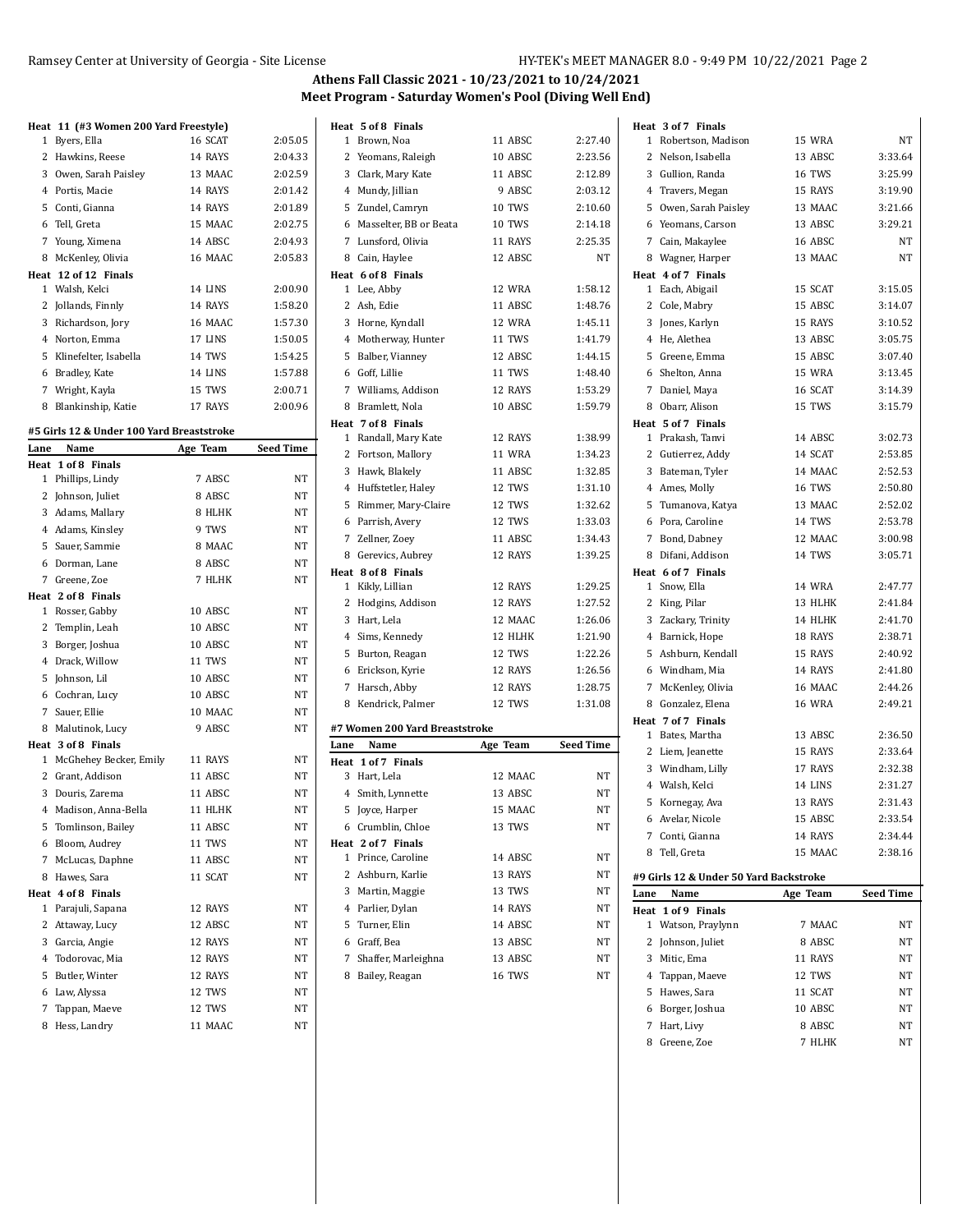#### Ramsey Center at University of Georgia - Site License HY-TEK's MEET MANAGER 8.0 - 9:49 PM 10/22/2021 Page 2

**Seed Time** 

## **Athens Fall Classic 2021 - 10/23/2021 to 10/24/2021 Meet Program - Saturday Women's Pool (Diving Well End)**

|      | Heat 11 (#3 Women 200 Yard Freestyle)     |          |                  | Heat 5 of 8 Finals |                                |          |                  |      | Heat 3 of 7 Finals                     |               |                  |
|------|-------------------------------------------|----------|------------------|--------------------|--------------------------------|----------|------------------|------|----------------------------------------|---------------|------------------|
|      | 1 Byers, Ella                             | 16 SCAT  | 2:05.05          | 1 Brown, Noa       |                                | 11 ABSC  | 2:27.40          |      | 1 Robertson, Madison                   | 15 WRA        | NT               |
|      | 2 Hawkins, Reese                          | 14 RAYS  | 2:04.33          |                    | 2 Yeomans, Raleigh             | 10 ABSC  | 2:23.56          |      | 2 Nelson, Isabella                     | 13 ABSC       | 3:33.64          |
|      | 3 Owen, Sarah Paisley                     | 13 MAAC  | 2:02.59          |                    | 3 Clark, Mary Kate             | 11 ABSC  | 2:12.89          |      | 3 Gullion, Randa                       | 16 TWS        | 3:25.99          |
|      | 4 Portis, Macie                           | 14 RAYS  | 2:01.42          |                    | 4 Mundy, Jillian               | 9 ABSC   | 2:03.12          |      | 4 Travers, Megan                       | 15 RAYS       | 3:19.90          |
|      | 5 Conti, Gianna                           | 14 RAYS  | 2:01.89          |                    | 5 Zundel, Camryn               | 10 TWS   | 2:10.60          |      | 5 Owen, Sarah Paisley                  | 13 MAAC       | 3:21.66          |
|      | 6 Tell, Greta                             | 15 MAAC  | 2:02.75          |                    | 6 Masselter, BB or Beata       | 10 TWS   | 2:14.18          |      | 6 Yeomans, Carson                      | 13 ABSC       | 3:29.21          |
|      | 7 Young, Ximena                           | 14 ABSC  | 2:04.93          |                    | 7 Lunsford, Olivia             | 11 RAYS  | 2:25.35          |      | 7 Cain, Makaylee                       | 16 ABSC       | <b>NT</b>        |
|      | 8 McKenley, Olivia                        | 16 MAAC  | 2:05.83          |                    | 8 Cain, Haylee                 | 12 ABSC  | NT               |      | 8 Wagner, Harper                       | 13 MAAC       | NT               |
|      | Heat 12 of 12 Finals                      |          |                  | Heat 6 of 8 Finals |                                |          |                  |      | Heat 4 of 7 Finals                     |               |                  |
|      | 1 Walsh, Kelci                            | 14 LINS  | 2:00.90          | 1 Lee, Abby        |                                | 12 WRA   | 1:58.12          |      | 1 Each, Abigail                        | 15 SCAT       | 3:15.05          |
|      | 2 Jollands, Finnly                        | 14 RAYS  | 1:58.20          | 2 Ash, Edie        |                                | 11 ABSC  | 1:48.76          |      | 2 Cole, Mabry                          | 15 ABSC       | 3:14.07          |
|      | 3 Richardson, Jory                        | 16 MAAC  | 1:57.30          |                    | 3 Horne, Kyndall               | 12 WRA   | 1:45.11          |      | 3 Jones, Karlyn                        | 15 RAYS       | 3:10.52          |
|      | 4 Norton, Emma                            | 17 LINS  | 1:50.05          |                    | 4 Motherway, Hunter            | 11 TWS   | 1:41.79          |      | 4 He, Alethea                          | 13 ABSC       | 3:05.75          |
|      | 5 Klinefelter, Isabella                   | 14 TWS   | 1:54.25          |                    | 5 Balber, Vianney              | 12 ABSC  | 1:44.15          |      | 5 Greene, Emma                         | 15 ABSC       | 3:07.40          |
|      | 6 Bradley, Kate                           | 14 LINS  | 1:57.88          | 6 Goff, Lillie     |                                | 11 TWS   | 1:48.40          |      | 6 Shelton, Anna                        | 15 WRA        | 3:13.45          |
|      | 7 Wright, Kayla                           | 15 TWS   | 2:00.71          |                    | 7 Williams, Addison            | 12 RAYS  | 1:53.29          |      | 7 Daniel, Maya                         | 16 SCAT       | 3:14.39          |
|      | 8 Blankinship, Katie                      | 17 RAYS  | 2:00.96          |                    | 8 Bramlett, Nola               | 10 ABSC  | 1:59.79          |      | 8 Obarr, Alison                        | 15 TWS        | 3:15.79          |
|      |                                           |          |                  | Heat 7 of 8 Finals |                                |          |                  |      | Heat 5 of 7 Finals                     |               |                  |
|      | #5 Girls 12 & Under 100 Yard Breaststroke |          |                  |                    | 1 Randall, Mary Kate           | 12 RAYS  | 1:38.99          |      | 1 Prakash, Tanvi                       | 14 ABSC       | 3:02.73          |
| Lane | Name                                      | Age Team | <b>Seed Time</b> |                    | 2 Fortson, Mallory             | 11 WRA   | 1:34.23          |      | 2 Gutierrez, Addy                      | 14 SCAT       | 2:53.85          |
|      | Heat 1 of 8 Finals                        | 7 ABSC   | NT               |                    | 3 Hawk, Blakely                | 11 ABSC  | 1:32.85          |      | 3 Bateman, Tyler                       | 14 MAAC       | 2:52.53          |
|      | 1 Phillips, Lindy                         | 8 ABSC   | NT               |                    | 4 Huffstetler, Haley           | 12 TWS   | 1:31.10          |      | 4 Ames, Molly                          | 16 TWS        | 2:50.80          |
|      | 2 Johnson, Juliet<br>3 Adams, Mallary     |          | NT               |                    | 5 Rimmer, Mary-Claire          | 12 TWS   | 1:32.62          |      | 5 Tumanova, Katya                      | 13 MAAC       | 2:52.02          |
|      |                                           | 8 HLHK   |                  |                    | 6 Parrish, Avery               | 12 TWS   | 1:33.03          |      | 6 Pora, Caroline                       | 14 TWS        | 2:53.78          |
|      | 4 Adams, Kinsley                          | 9 TWS    | NT               |                    | 7 Zellner, Zoey                | 11 ABSC  | 1:34.43          |      | 7 Bond, Dabney                         | 12 MAAC       | 3:00.98          |
|      | 5 Sauer, Sammie                           | 8 MAAC   | NT               |                    | 8 Gerevics, Aubrey             | 12 RAYS  | 1:39.25          |      | 8 Difani. Addison                      | 14 TWS        | 3:05.71          |
|      | 6 Dorman, Lane                            | 8 ABSC   | NT               | Heat 8 of 8 Finals |                                |          |                  |      | Heat 6 of 7 Finals                     |               |                  |
|      | 7 Greene, Zoe                             | 7 HLHK   | NT               |                    | 1 Kikly, Lillian               | 12 RAYS  | 1:29.25          |      | 1 Snow, Ella                           | <b>14 WRA</b> | 2:47.77          |
|      | Heat 2 of 8 Finals                        |          |                  |                    | 2 Hodgins, Addison             | 12 RAYS  | 1:27.52          |      | 2 King, Pilar                          | 13 HLHK       | 2:41.84          |
|      | 1 Rosser, Gabby                           | 10 ABSC  | NT               | 3 Hart, Lela       |                                | 12 MAAC  | 1:26.06          |      | 3 Zackary, Trinity                     | 14 HLHK       | 2:41.70          |
|      | 2 Templin, Leah                           | 10 ABSC  | NT               |                    | 4 Sims, Kennedy                | 12 HLHK  | 1:21.90          |      | 4 Barnick, Hope                        | 18 RAYS       | 2:38.71          |
|      | 3 Borger, Joshua                          | 10 ABSC  | NT               |                    | 5 Burton, Reagan               | 12 TWS   | 1:22.26          |      | 5 Ashburn, Kendall                     | 15 RAYS       | 2:40.92          |
|      | 4 Drack, Willow                           | 11 TWS   | NT               |                    | 6 Erickson, Kyrie              | 12 RAYS  | 1:26.56          |      | 6 Windham, Mia                         | 14 RAYS       | 2:41.80          |
|      | 5 Johnson, Lil                            | 10 ABSC  | NT               |                    | 7 Harsch, Abby                 | 12 RAYS  | 1:28.75          |      | 7 McKenley, Olivia                     | 16 MAAC       | 2:44.26          |
|      | 6 Cochran, Lucy                           | 10 ABSC  | NT               |                    | 8 Kendrick, Palmer             | 12 TWS   | 1:31.08          |      | 8 Gonzalez, Elena                      | <b>16 WRA</b> | 2:49.21          |
|      | 7 Sauer, Ellie                            | 10 MAAC  | NT               |                    |                                |          |                  |      | Heat 7 of 7 Finals                     |               |                  |
|      | 8 Malutinok, Lucy                         | 9 ABSC   | NT               |                    | #7 Women 200 Yard Breaststroke |          |                  |      | 1 Bates, Martha                        | 13 ABSC       | 2:36.50          |
|      | Heat 3 of 8 Finals                        |          |                  | Lane               | Name                           | Age Team | <b>Seed Time</b> |      | 2 Liem, Jeanette                       | 15 RAYS       | 2:33.64          |
|      | 1 McGhehey Becker, Emily                  | 11 RAYS  | NT               | Heat 1 of 7 Finals |                                |          |                  |      | 3 Windham, Lilly                       | 17 RAYS       | 2:32.38          |
|      | 2 Grant, Addison                          | 11 ABSC  | NT               | 3 Hart, Lela       |                                | 12 MAAC  | NT               |      | 4 Walsh, Kelci                         | 14 LINS       | 2:31.27          |
|      | 3 Douris, Zarema                          | 11 ABSC  | NT               |                    | 4 Smith, Lynnette              | 13 ABSC  | NT               |      | 5 Kornegay, Ava                        | 13 RAYS       | 2:31.43          |
|      | 4 Madison, Anna-Bella                     | 11 HLHK  | $\rm{NT}$        |                    | 5 Joyce, Harper                | 15 MAAC  | $\rm{NT}$        |      | 6 Avelar, Nicole                       | 15 ABSC       | 2:33.54          |
|      | 5 Tomlinson, Bailey                       | 11 ABSC  | NT               |                    | 6 Crumblin, Chloe              | 13 TWS   | NT               |      | 7 Conti, Gianna                        | 14 RAYS       | 2:34.44          |
|      | 6 Bloom, Audrey                           | 11 TWS   | NT               | Heat 2 of 7 Finals |                                |          |                  |      | 8 Tell, Greta                          | 15 MAAC       | 2:38.16          |
|      | 7 McLucas, Daphne                         | 11 ABSC  | NT               |                    | 1 Prince, Caroline             | 14 ABSC  | NT               |      |                                        |               |                  |
|      | 8 Hawes, Sara                             | 11 SCAT  | NT               |                    | 2 Ashburn, Karlie              | 13 RAYS  | NT               |      | #9 Girls 12 & Under 50 Yard Backstroke |               |                  |
|      | Heat 4 of 8 Finals                        |          |                  |                    | 3 Martin, Maggie               | 13 TWS   | NT               | Lane | Name                                   | Age Team      | <b>Seed Time</b> |
|      | 1 Parajuli, Sapana                        | 12 RAYS  | NT               |                    | 4 Parlier, Dylan               | 14 RAYS  | NT               |      | Heat 1 of 9 Finals                     |               |                  |
|      | 2 Attaway, Lucy                           | 12 ABSC  | NΤ               |                    | 5 Turner, Elin                 | 14 ABSC  | NT               |      | 1 Watson, Praylynn                     | 7 MAAC        | NT               |
|      | 3 Garcia, Angie                           | 12 RAYS  | NT               | 6 Graff, Bea       |                                | 13 ABSC  | NT               |      | 2 Johnson, Juliet                      | 8 ABSC        | NT               |
|      | 4 Todorovac, Mia                          | 12 RAYS  | NT               |                    | 7 Shaffer, Marleighna          | 13 ABSC  | NΤ               |      | 3 Mitic, Ema                           | 11 RAYS       | NT               |
|      | 5 Butler, Winter                          | 12 RAYS  | NT               |                    | 8 Bailey, Reagan               | 16 TWS   | NΤ               |      | 4 Tappan, Maeve                        | 12 TWS        | NT               |
|      | 6 Law, Alyssa                             | 12 TWS   | NT               |                    |                                |          |                  |      | 5 Hawes, Sara                          | 11 SCAT       | NT               |
|      | 7 Tappan, Maeve                           | 12 TWS   | NT               |                    |                                |          |                  |      | 6 Borger, Joshua                       | 10 ABSC       | NT               |
|      | 8 Hess, Landry                            | 11 MAAC  | $_{\rm NT}$      |                    |                                |          |                  |      | 7 Hart, Livy                           | 8 ABSC        | NT               |

8 Greene, Zoe 7 HLHK NT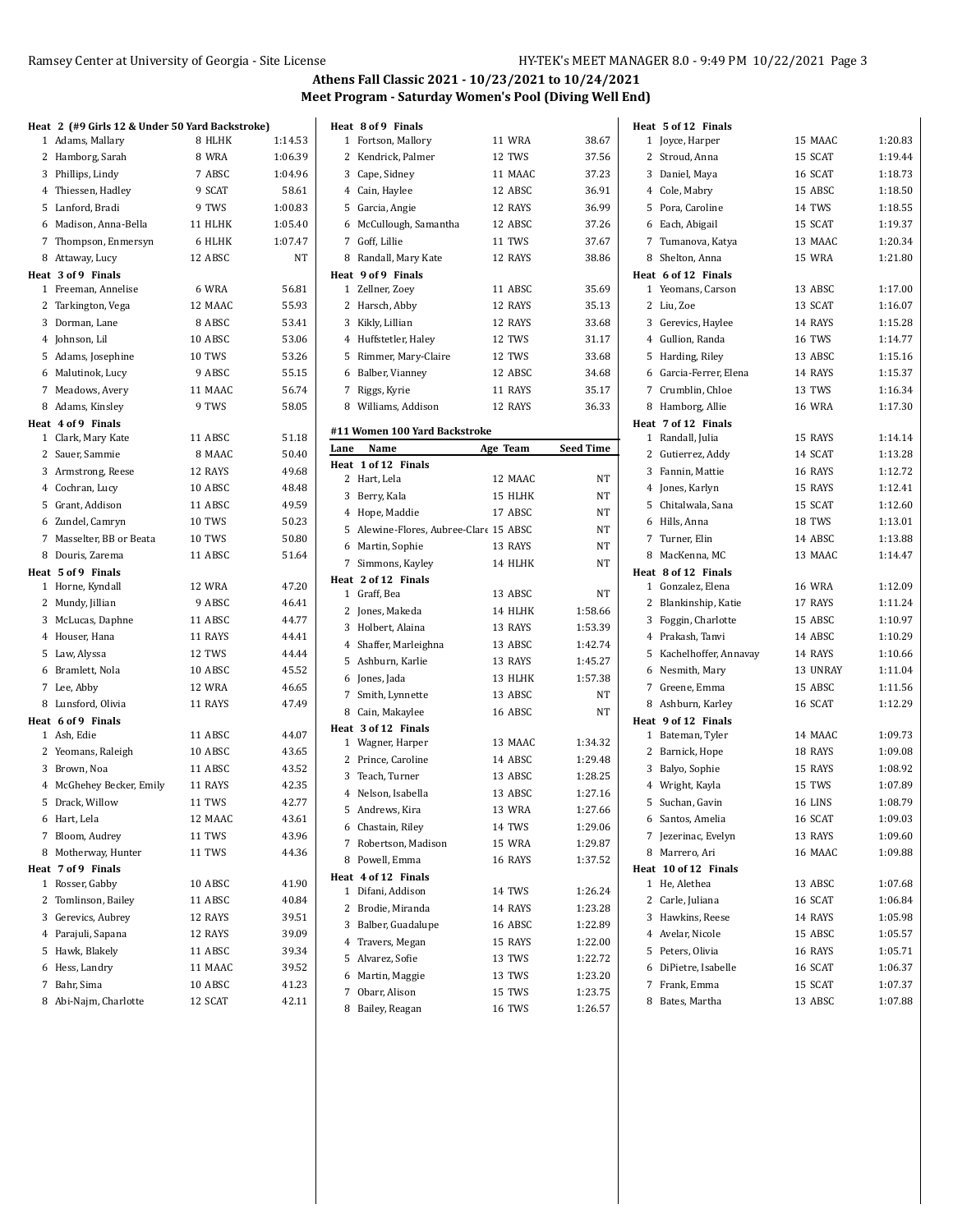|                          | Heat 2 (#9 Girls 12 & Under 50 Yard Backstroke) |         | Heat 8 of 9 Finals            |                                        |                  |
|--------------------------|-------------------------------------------------|---------|-------------------------------|----------------------------------------|------------------|
| 1 Adams, Mallary         | 8 HLHK                                          | 1:14.53 | 1 Fortson, Mallory            | 11 WRA                                 | 38.67            |
| 2 Hamborg, Sarah         | 8 WRA                                           | 1:06.39 | 2<br>Kendrick, Palmer         | 12 TWS                                 | 37.56            |
| 3 Phillips, Lindy        | 7 ABSC                                          | 1:04.96 | 3<br>Cape, Sidney             | 11 MAAC                                | 37.23            |
| 4 Thiessen, Hadley       | 9 SCAT                                          | 58.61   | 4 Cain, Haylee                | 12 ABSC                                | 36.91            |
| 5 Lanford, Bradi         | 9 TWS                                           | 1:00.83 | 5 Garcia, Angie               | 12 RAYS                                | 36.99            |
| 6 Madison, Anna-Bella    | 11 HLHK                                         | 1:05.40 | McCullough, Samantha<br>6     | 12 ABSC                                | 37.26            |
| 7 Thompson, Enmersyn     | 6 HLHK                                          | 1:07.47 | Goff, Lillie<br>7             | 11 TWS                                 | 37.67            |
| 8 Attaway, Lucy          | 12 ABSC                                         | NT      | 8<br>Randall, Mary Kate       | 12 RAYS                                | 38.86            |
| Heat 3 of 9 Finals       |                                                 |         | Heat 9 of 9 Finals            |                                        |                  |
| 1 Freeman, Annelise      | 6 WRA                                           | 56.81   | 1 Zellner, Zoey               | 11 ABSC                                | 35.69            |
| 2 Tarkington, Vega       | 12 MAAC                                         | 55.93   | 2 Harsch, Abby                | 12 RAYS                                | 35.13            |
| 3 Dorman, Lane           | 8 ABSC                                          | 53.41   | 3 Kikly, Lillian              | 12 RAYS                                | 33.68            |
| 4 Johnson, Lil           | 10 ABSC                                         | 53.06   | Huffstetler, Haley<br>4       | 12 TWS                                 | 31.17            |
| 5 Adams, Josephine       | 10 TWS                                          | 53.26   | Rimmer, Mary-Claire<br>5      | 12 TWS                                 | 33.68            |
| 6 Malutinok, Lucy        | 9 ABSC                                          | 55.15   | Balber, Vianney<br>6          | 12 ABSC                                | 34.68            |
| 7 Meadows, Avery         | 11 MAAC                                         | 56.74   | Riggs, Kyrie<br>7             | 11 RAYS                                | 35.17            |
| 8 Adams, Kinsley         | 9 TWS                                           | 58.05   | 8<br>Williams, Addison        | 12 RAYS                                | 36.33            |
| Heat 4 of 9 Finals       |                                                 |         |                               |                                        |                  |
| 1 Clark, Mary Kate       | 11 ABSC                                         | 51.18   | #11 Women 100 Yard Backstroke |                                        |                  |
| 2 Sauer, Sammie          | 8 MAAC                                          | 50.40   | Lane<br>Name                  | Age Team                               | <b>Seed Time</b> |
| 3 Armstrong, Reese       | 12 RAYS                                         | 49.68   | Heat 1 of 12 Finals           |                                        |                  |
| 4 Cochran, Lucy          | 10 ABSC                                         | 48.48   | 2 Hart, Lela                  | 12 MAAC                                | NT               |
| 5 Grant, Addison         | 11 ABSC                                         | 49.59   | 3 Berry, Kala                 | 15 HLHK                                | NT               |
| 6 Zundel, Camryn         | 10 TWS                                          | 50.23   | 4 Hope, Maddie                | 17 ABSC                                | NT               |
| 7 Masselter, BB or Beata | 10 TWS                                          | 50.80   |                               | 5 Alewine-Flores, Aubree-Clare 15 ABSC | NT               |
| 8 Douris, Zarema         | 11 ABSC                                         | 51.64   | 6 Martin, Sophie              | 13 RAYS                                | NT               |
| Heat 5 of 9 Finals       |                                                 |         | 7 Simmons, Kayley             | 14 HLHK                                | NT               |
| 1 Horne, Kyndall         | 12 WRA                                          | 47.20   | Heat 2 of 12 Finals           |                                        |                  |
| 2 Mundy, Jillian         | 9 ABSC                                          | 46.41   | 1 Graff, Bea                  | 13 ABSC                                | NT               |
| 3 McLucas, Daphne        | 11 ABSC                                         | 44.77   | 2 Jones, Makeda               | 14 HLHK                                | 1:58.66          |
| 4 Houser, Hana           | 11 RAYS                                         | 44.41   | 3 Holbert, Alaina             | 13 RAYS                                | 1:53.39          |
| 5 Law, Alyssa            | 12 TWS                                          | 44.44   | 4 Shaffer, Marleighna         | 13 ABSC                                | 1:42.74          |
| Bramlett, Nola<br>6      | 10 ABSC                                         | 45.52   | 5 Ashburn, Karlie             | 13 RAYS                                | 1:45.27          |
| 7 Lee, Abby              | 12 WRA                                          | 46.65   | Jones, Jada<br>6              | 13 HLHK                                | 1:57.38          |
| 8 Lunsford, Olivia       | 11 RAYS                                         | 47.49   | 7 Smith, Lynnette             | 13 ABSC                                | NT               |
| Heat 6 of 9 Finals       |                                                 |         | 8 Cain, Makaylee              | 16 ABSC                                | NT               |
| 1 Ash, Edie              | 11 ABSC                                         | 44.07   | Heat 3 of 12 Finals           |                                        |                  |
| 2 Yeomans, Raleigh       | 10 ABSC                                         | 43.65   | 1 Wagner, Harper              | 13 MAAC                                | 1:34.32          |
| 3 Brown, Noa             | 11 ABSC                                         | 43.52   | 2 Prince, Caroline            | 14 ABSC                                | 1:29.48          |
| 4 McGhehey Becker, Emily | 11 RAYS                                         | 42.35   | 3 Teach, Turner               | 13 ABSC                                | 1:28.25          |
| 5 Drack, Willow          | 11 TWS                                          | 42.77   | Nelson, Isabella<br>4         | 13 ABSC                                | 1:27.16          |
|                          |                                                 |         | 5 Andrews, Kira               | 13 WRA                                 | 1:27.66          |
| 6 Hart, Lela             | 12 MAAC                                         | 43.61   | 6 Chastain, Riley             | 14 TWS                                 | 1:29.06          |
| 7 Bloom, Audrey          | 11 TWS                                          | 43.96   | 7 Robertson, Madison          | 15 WRA                                 | 1:29.87          |
| 8 Motherway, Hunter      | 11 TWS                                          | 44.36   | 8<br>Powell, Emma             | 16 RAYS                                | 1:37.52          |
| Heat 7 of 9 Finals       |                                                 |         | Heat 4 of 12 Finals           |                                        |                  |
| 1 Rosser, Gabby          | 10 ABSC                                         | 41.90   | 1 Difani, Addison             | 14 TWS                                 | 1:26.24          |
| Tomlinson, Bailey<br>2   | 11 ABSC                                         | 40.84   | Brodie, Miranda<br>2          | 14 RAYS                                | 1:23.28          |
| Gerevics, Aubrey<br>3    | 12 RAYS                                         | 39.51   | 3<br>Balber, Guadalupe        | 16 ABSC                                | 1:22.89          |
| 4<br>Parajuli, Sapana    | 12 RAYS                                         | 39.09   | Travers, Megan<br>4           | 15 RAYS                                | 1:22.00          |
| 5<br>Hawk, Blakely       | 11 ABSC                                         | 39.34   | Alvarez, Sofie<br>5           | 13 TWS                                 | 1:22.72          |
| Hess, Landry<br>6        | 11 MAAC                                         | 39.52   | Martin, Maggie<br>6           | 13 TWS                                 | 1:23.20          |
| Bahr, Sima<br>7          | 10 ABSC                                         | 41.23   | 7 Obarr, Alison               | 15 TWS                                 | 1:23.75          |
| 8 Abi-Najm, Charlotte    | 12 SCAT                                         | 42.11   | 8 Bailey, Reagan              | 16 TWS                                 | 1:26.57          |
|                          |                                                 |         |                               |                                        |                  |

 $\mathbf{r}$ 

|                  | Heat 5 of 12 Finals                   |               |         |
|------------------|---------------------------------------|---------------|---------|
| 38.67            | 1<br>Joyce, Harper                    | 15 MAAC       | 1:20.83 |
| 37.56            | 2 Stroud, Anna                        | 15 SCAT       | 1:19.44 |
| 37.23            | 3 Daniel, Maya                        | 16 SCAT       | 1:18.73 |
| 36.91            | 4 Cole, Mabry                         | 15 ABSC       | 1:18.50 |
| 36.99            | 5 Pora, Caroline                      | 14 TWS        | 1:18.55 |
| 37.26            | 6 Each, Abigail                       | 15 SCAT       | 1:19.37 |
| 37.67            | 7 Tumanova, Katya                     | 13 MAAC       | 1:20.34 |
| 38.86            | 8 Shelton, Anna                       | 15 WRA        | 1:21.80 |
|                  | Heat 6 of 12 Finals                   |               |         |
| 35.69            | 1 Yeomans, Carson                     | 13 ABSC       | 1:17.00 |
| 35.13            | 2 Liu, Zoe                            | 13 SCAT       | 1:16.07 |
| 33.68            | 3 Gerevics, Haylee                    | 14 RAYS       | 1:15.28 |
| 31.17            | 4 Gullion, Randa                      | 16 TWS        | 1:14.77 |
| 33.68            | 5 Harding, Riley                      | 13 ABSC       | 1:15.16 |
| 34.68            | 6 Garcia-Ferrer, Elena                | 14 RAYS       | 1:15.37 |
| 35.17            | 7 Crumblin, Chloe                     | 13 TWS        | 1:16.34 |
| 36.33            | 8 Hamborg, Allie                      | <b>16 WRA</b> | 1:17.30 |
|                  | Heat 7 of 12 Finals                   |               |         |
|                  | 1 Randall, Julia                      | 15 RAYS       | 1:14.14 |
| <b>Seed Time</b> | 2 Gutierrez, Addy                     | 14 SCAT       | 1:13.28 |
| NΤ               | 3 Fannin, Mattie                      | 16 RAYS       | 1:12.72 |
| NΤ               | 4 Jones, Karlyn                       | 15 RAYS       | 1:12.41 |
| NT               | 5 Chitalwala, Sana                    | 15 SCAT       | 1:12.60 |
| NT               | 6 Hills, Anna                         | 18 TWS        | 1:13.01 |
| NT               | 7 Turner, Elin                        | 14 ABSC       | 1:13.88 |
| NT               | 8 MacKenna, MC                        | 13 MAAC       | 1:14.47 |
|                  | Heat 8 of 12 Finals                   |               |         |
| NT               | 1 Gonzalez, Elena                     | <b>16 WRA</b> | 1:12.09 |
| 1:58.66          | 2 Blankinship, Katie                  | 17 RAYS       | 1:11.24 |
| 1:53.39          | 3 Foggin, Charlotte                   | 15 ABSC       | 1:10.97 |
| 1:42.74          | 4 Prakash, Tanvi                      | 14 ABSC       | 1:10.29 |
| 1:45.27          | 5 Kachelhoffer, Annavay               | 14 RAYS       | 1:10.66 |
| 1:57.38          | 6 Nesmith, Mary                       | 13 UNRAY      | 1:11.04 |
| NT               | 7 Greene, Emma                        | 15 ABSC       | 1:11.56 |
| NT               | 8 Ashburn, Karley                     | 16 SCAT       | 1:12.29 |
|                  | Heat 9 of 12 Finals                   |               |         |
| 1:34.32          | 1 Bateman, Tyler                      | 14 MAAC       | 1:09.73 |
| 1:29.48          | 2 Barnick, Hope                       | 18 RAYS       | 1:09.08 |
| 1:28.25          | 3 Balyo, Sophie                       | 15 RAYS       | 1:08.92 |
| 1:27.16          | 4 Wright, Kayla                       | 15 TWS        | 1:07.89 |
| 1:27.66          | 5<br>Suchan, Gavin                    | 16 LINS       | 1:08.79 |
| 1:29.06          | 6 Santos, Amelia                      | 16 SCAT       | 1:09.03 |
| 1:29.87          | 7 Jezerinac, Evelyn                   | 13 RAYS       | 1:09.60 |
| 1:37.52          | 8 Marrero, Ari                        | 16 MAAC       | 1:09.88 |
|                  | Heat 10 of 12 Finals<br>1 He, Alethea | 13 ABSC       | 1:07.68 |
| 1:26.24          | 2 Carle, Juliana                      | 16 SCAT       | 1:06.84 |
| 1:23.28          | 3 Hawkins, Reese                      | 14 RAYS       | 1:05.98 |
| 1:22.89          | 4 Avelar, Nicole                      | 15 ABSC       | 1:05.57 |
| 1:22.00          | 5 Peters, Olivia                      | 16 RAYS       | 1:05.71 |
| 1:22.72          | 6 DiPietre, Isabelle                  | 16 SCAT       | 1:06.37 |
| 1:23.20          | 7 Frank, Emma                         | 15 SCAT       | 1:07.37 |
| 1:23.75          |                                       |               | 1:07.88 |
| 1:26.57          | 8 Bates, Martha                       | 13 ABSC       |         |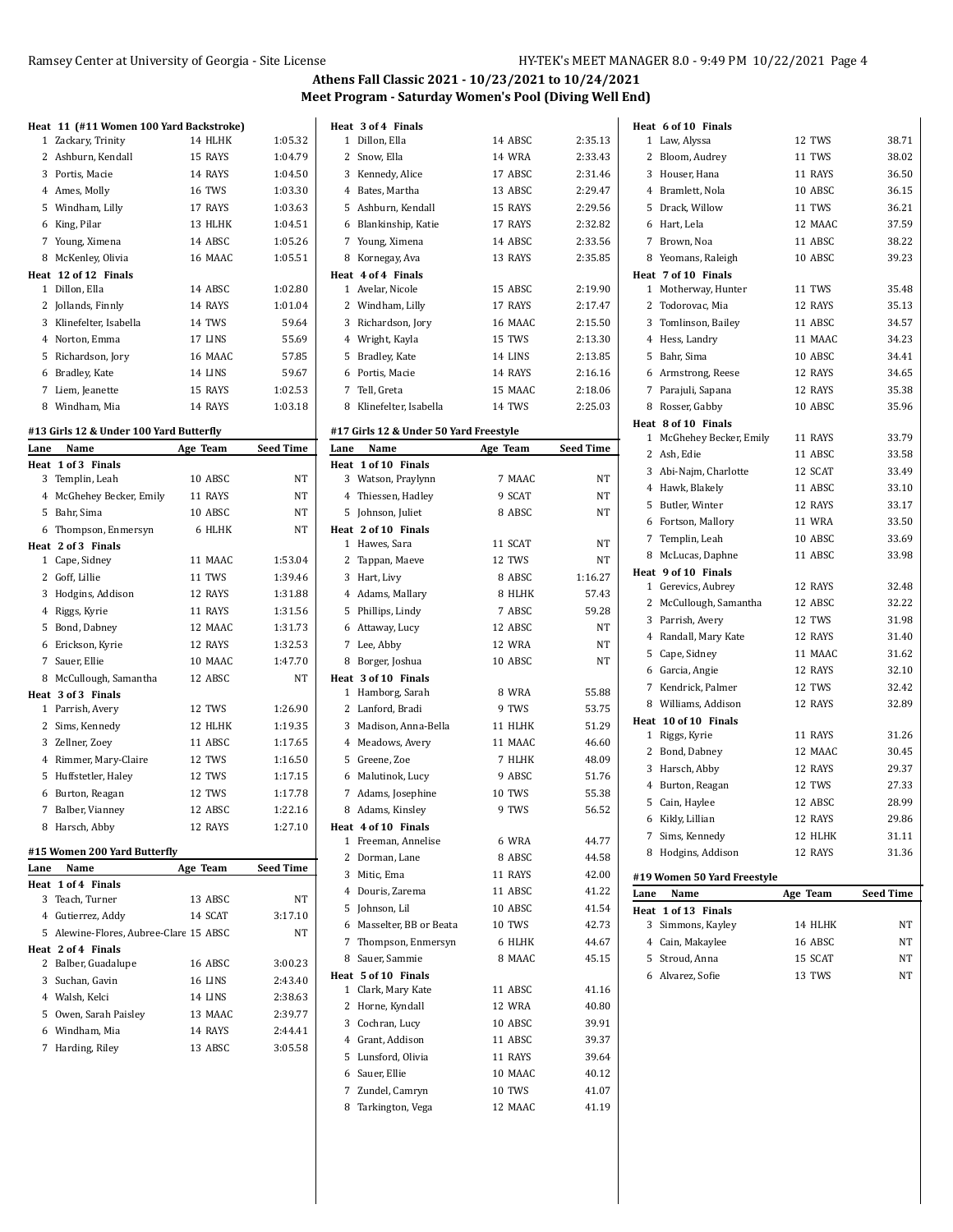|      | Heat 11 (#11 Women 100 Yard Backstroke) |          |                  |      | Heat 3 of 4 Finals                        |               |                  |      | Heat 6 of 10 Finals         |          |                  |
|------|-----------------------------------------|----------|------------------|------|-------------------------------------------|---------------|------------------|------|-----------------------------|----------|------------------|
|      | 1 Zackary, Trinity                      | 14 HLHK  | 1:05.32          |      | 1 Dillon, Ella                            | 14 ABSC       | 2:35.13          |      | 1 Law, Alyssa               | 12 TWS   | 38.71            |
|      | 2 Ashburn, Kendall                      | 15 RAYS  | 1:04.79          |      | 2 Snow, Ella                              | <b>14 WRA</b> | 2:33.43          |      | 2 Bloom, Audrey             | 11 TWS   | 38.02            |
|      | 3 Portis, Macie                         | 14 RAYS  | 1:04.50          |      | 3 Kennedy, Alice                          | 17 ABSC       | 2:31.46          |      | 3 Houser, Hana              | 11 RAYS  | 36.50            |
|      | 4 Ames, Molly                           | 16 TWS   | 1:03.30          |      | 4 Bates, Martha                           | 13 ABSC       | 2:29.47          |      | 4 Bramlett, Nola            | 10 ABSC  | 36.15            |
|      | 5 Windham, Lilly                        | 17 RAYS  | 1:03.63          |      | 5 Ashburn, Kendall                        | 15 RAYS       | 2:29.56          |      | 5 Drack, Willow             | 11 TWS   | 36.21            |
|      | 6 King, Pilar                           | 13 HLHK  | 1:04.51          |      | 6 Blankinship, Katie                      | 17 RAYS       | 2:32.82          |      | 6 Hart, Lela                | 12 MAAC  | 37.59            |
|      | 7 Young, Ximena                         | 14 ABSC  | 1:05.26          |      | 7 Young, Ximena                           | 14 ABSC       | 2:33.56          |      | 7 Brown, Noa                | 11 ABSC  | 38.22            |
|      | 8 McKenley, Olivia                      | 16 MAAC  | 1:05.51          |      | 8 Kornegay, Ava                           | 13 RAYS       | 2:35.85          |      | 8 Yeomans, Raleigh          | 10 ABSC  | 39.23            |
|      | Heat 12 of 12 Finals                    |          |                  |      | Heat 4 of 4 Finals                        |               |                  |      | Heat 7 of 10 Finals         |          |                  |
|      | 1 Dillon, Ella                          | 14 ABSC  | 1:02.80          |      | 1 Avelar, Nicole                          | 15 ABSC       | 2:19.90          |      | 1 Motherway, Hunter         | 11 TWS   | 35.48            |
|      | 2 Jollands, Finnly                      | 14 RAYS  | 1:01.04          |      | 2 Windham, Lilly                          | 17 RAYS       | 2:17.47          |      | 2 Todorovac, Mia            | 12 RAYS  | 35.13            |
|      | 3 Klinefelter, Isabella                 | 14 TWS   | 59.64            |      | 3 Richardson, Jory                        | 16 MAAC       | 2:15.50          |      | 3 Tomlinson, Bailey         | 11 ABSC  | 34.57            |
|      | 4 Norton, Emma                          | 17 LINS  | 55.69            |      | 4 Wright, Kayla                           | 15 TWS        | 2:13.30          |      | 4 Hess, Landry              | 11 MAAC  | 34.23            |
|      | 5 Richardson, Jory                      | 16 MAAC  | 57.85            |      | 5 Bradley, Kate                           | 14 LINS       | 2:13.85          |      | 5 Bahr, Sima                | 10 ABSC  | 34.41            |
|      | 6 Bradley, Kate                         | 14 LINS  | 59.67            |      | 6 Portis, Macie                           | 14 RAYS       | 2:16.16          |      | 6 Armstrong, Reese          | 12 RAYS  | 34.65            |
|      | 7 Liem, Jeanette                        | 15 RAYS  | 1:02.53          |      | 7 Tell, Greta                             | 15 MAAC       | 2:18.06          |      | 7 Parajuli, Sapana          | 12 RAYS  | 35.38            |
|      | 8 Windham, Mia                          | 14 RAYS  | 1:03.18          |      | 8 Klinefelter, Isabella                   | 14 TWS        | 2:25.03          |      | 8 Rosser, Gabby             | 10 ABSC  | 35.96            |
|      |                                         |          |                  |      |                                           |               |                  |      | Heat 8 of 10 Finals         |          |                  |
|      | #13 Girls 12 & Under 100 Yard Butterfly |          |                  |      | #17 Girls 12 & Under 50 Yard Freestyle    |               |                  |      | 1 McGhehey Becker, Emily    | 11 RAYS  | 33.79            |
| Lane | Name                                    | Age Team | <b>Seed Time</b> | Lane | Name                                      | Age Team      | <b>Seed Time</b> |      | 2 Ash, Edie                 | 11 ABSC  | 33.58            |
|      | Heat 1 of 3 Finals                      |          |                  |      | Heat 1 of 10 Finals                       |               |                  |      | 3 Abi-Najm, Charlotte       | 12 SCAT  | 33.49            |
|      | 3 Templin, Leah                         | 10 ABSC  | NT               |      | 3 Watson, Praylynn                        | 7 MAAC        | NT               |      |                             |          |                  |
|      | 4 McGhehey Becker, Emily                | 11 RAYS  | NT               |      | 4 Thiessen, Hadley                        | 9 SCAT        | NT               |      | 4 Hawk, Blakely             | 11 ABSC  | 33.10            |
|      | 5 Bahr, Sima                            | 10 ABSC  | NT               |      | 5 Johnson, Juliet                         | 8 ABSC        | NT               |      | 5 Butler, Winter            | 12 RAYS  | 33.17            |
|      | 6 Thompson, Enmersyn                    | 6 HLHK   | NT               |      | Heat 2 of 10 Finals                       |               |                  |      | 6 Fortson, Mallory          | 11 WRA   | 33.50            |
|      | Heat 2 of 3 Finals                      |          |                  |      | 1 Hawes, Sara                             | 11 SCAT       | NT               |      | 7 Templin, Leah             | 10 ABSC  | 33.69            |
|      | 1 Cape, Sidney                          | 11 MAAC  | 1:53.04          |      | 2 Tappan, Maeve                           | 12 TWS        | NT               |      | 8 McLucas, Daphne           | 11 ABSC  | 33.98            |
|      | 2 Goff, Lillie                          | 11 TWS   | 1:39.46          |      | 3 Hart, Livy                              | 8 ABSC        | 1:16.27          |      | Heat 9 of 10 Finals         |          |                  |
|      | 3 Hodgins, Addison                      | 12 RAYS  | 1:31.88          |      | 4 Adams, Mallary                          | 8 HLHK        | 57.43            |      | 1 Gerevics, Aubrey          | 12 RAYS  | 32.48            |
|      | 4 Riggs, Kyrie                          | 11 RAYS  | 1:31.56          |      | 5 Phillips, Lindy                         | 7 ABSC        | 59.28            |      | 2 McCullough, Samantha      | 12 ABSC  | 32.22            |
|      | 5 Bond, Dabney                          | 12 MAAC  | 1:31.73          |      | 6 Attaway, Lucy                           | 12 ABSC       | NT               |      | 3 Parrish, Avery            | 12 TWS   | 31.98            |
|      | 6 Erickson, Kyrie                       | 12 RAYS  | 1:32.53          |      | 7 Lee, Abby                               | 12 WRA        | NT               |      | 4 Randall, Mary Kate        | 12 RAYS  | 31.40            |
|      | 7 Sauer, Ellie                          | 10 MAAC  | 1:47.70          |      | 8 Borger, Joshua                          | 10 ABSC       | NT               |      | 5 Cape, Sidney              | 11 MAAC  | 31.62            |
|      | 8 McCullough, Samantha                  | 12 ABSC  | NT               |      | Heat 3 of 10 Finals                       |               |                  |      | 6 Garcia, Angie             | 12 RAYS  | 32.10            |
|      | Heat 3 of 3 Finals                      |          |                  |      | 1 Hamborg, Sarah                          | 8 WRA         | 55.88            |      | 7 Kendrick, Palmer          | 12 TWS   | 32.42            |
|      | 1 Parrish, Avery                        | 12 TWS   | 1:26.90          |      | 2 Lanford, Bradi                          | 9 TWS         | 53.75            |      | 8 Williams, Addison         | 12 RAYS  | 32.89            |
|      | 2 Sims, Kennedy                         | 12 HLHK  | 1:19.35          |      | 3 Madison, Anna-Bella                     | 11 HLHK       | 51.29            |      | Heat 10 of 10 Finals        |          |                  |
|      | 3 Zellner, Zoey                         | 11 ABSC  | 1:17.65          |      | 4 Meadows, Avery                          | 11 MAAC       | 46.60            |      | 1 Riggs, Kyrie              | 11 RAYS  | 31.26            |
|      | 4 Rimmer, Mary-Claire                   | 12 TWS   | 1:16.50          |      | 5 Greene, Zoe                             | 7 HLHK        | 48.09            |      | 2 Bond, Dabney              | 12 MAAC  | 30.45            |
|      | 5 Huffstetler, Haley                    | 12 TWS   | 1:17.15          |      | 6 Malutinok, Lucy                         | 9 ABSC        | 51.76            |      | 3 Harsch, Abby              | 12 RAYS  | 29.37            |
|      | 6 Burton, Reagan                        | 12 TWS   | 1:17.78          |      | 7 Adams, Josephine                        | 10 TWS        | 55.38            |      | 4 Burton, Reagan            | 12 TWS   | 27.33            |
|      | 7 Balber, Vianney                       | 12 ABSC  | 1:22.16          |      | 8 Adams, Kinsley                          | 9 TWS         | 56.52            |      | 5 Cain, Haylee              | 12 ABSC  | 28.99            |
|      | 8 Harsch, Abby                          | 12 RAYS  | 1:27.10          |      | Heat 4 of 10 Finals                       |               |                  |      | 6 Kikly, Lillian            | 12 RAYS  | 29.86            |
|      |                                         |          |                  |      | 1 Freeman, Annelise                       | 6 WRA         | 44.77            |      | 7 Sims, Kennedy             | 12 HLHK  | 31.11            |
|      | #15 Women 200 Yard Butterfly            |          |                  |      | 2 Dorman, Lane                            | 8 ABSC        | 44.58            |      | 8 Hodgins, Addison          | 12 RAYS  | 31.36            |
| Lane | Name                                    | Age Team | Seed Time        |      | 3 Mitic, Ema                              | 11 RAYS       | 42.00            |      | #19 Women 50 Yard Freestyle |          |                  |
|      | Heat 1 of 4 Finals                      |          |                  |      | 4 Douris, Zarema                          | 11 ABSC       | 41.22            | Lane | Name                        | Age Team | <b>Seed Time</b> |
|      | 3 Teach, Turner                         | 13 ABSC  | NT               |      | 5 Johnson, Lil                            | 10 ABSC       | 41.54            |      | Heat 1 of 13 Finals         |          |                  |
|      | 4 Gutierrez, Addy                       | 14 SCAT  | 3:17.10          |      | 6 Masselter, BB or Beata                  | 10 TWS        | 42.73            |      | 3 Simmons, Kayley           | 14 HLHK  | NT               |
|      | 5 Alewine-Flores, Aubree-Clare 15 ABSC  |          | NΤ               |      | 7 Thompson, Enmersyn                      | 6 HLHK        | 44.67            |      | 4 Cain, Makaylee            | 16 ABSC  | NT               |
|      | Heat 2 of 4 Finals                      |          |                  |      | 8 Sauer, Sammie                           | 8 MAAC        | 45.15            |      | 5 Stroud, Anna              | 15 SCAT  | NT               |
|      | 2 Balber, Guadalupe                     | 16 ABSC  | 3:00.23          |      |                                           |               |                  |      |                             |          |                  |
|      | 3 Suchan, Gavin                         | 16 LINS  | 2:43.40          |      | Heat 5 of 10 Finals<br>1 Clark, Mary Kate | 11 ABSC       | 41.16            |      | 6 Alvarez, Sofie            | 13 TWS   | ΝT               |
|      | 4 Walsh, Kelci                          | 14 LINS  | 2:38.63          |      | 2 Horne, Kyndall                          | 12 WRA        | 40.80            |      |                             |          |                  |
|      | 5 Owen, Sarah Paisley                   | 13 MAAC  | 2:39.77          |      | 3 Cochran, Lucy                           | 10 ABSC       | 39.91            |      |                             |          |                  |
|      | 6 Windham, Mia                          | 14 RAYS  | 2:44.41          |      |                                           |               |                  |      |                             |          |                  |
|      | 7 Harding, Riley                        | 13 ABSC  | 3:05.58          |      | 4 Grant, Addison                          | 11 ABSC       | 39.37            |      |                             |          |                  |
|      |                                         |          |                  |      | 5 Lunsford, Olivia                        | 11 RAYS       | 39.64            |      |                             |          |                  |
|      |                                         |          |                  |      | 6 Sauer, Ellie                            | 10 MAAC       | 40.12            |      |                             |          |                  |
|      |                                         |          |                  |      | 7 Zundel, Camryn                          | <b>10 TWS</b> | 41.07            |      |                             |          |                  |
|      |                                         |          |                  |      | 8 Tarkington, Vega                        | 12 MAAC       | 41.19            |      |                             |          |                  |
|      |                                         |          |                  |      |                                           |               |                  |      |                             |          |                  |